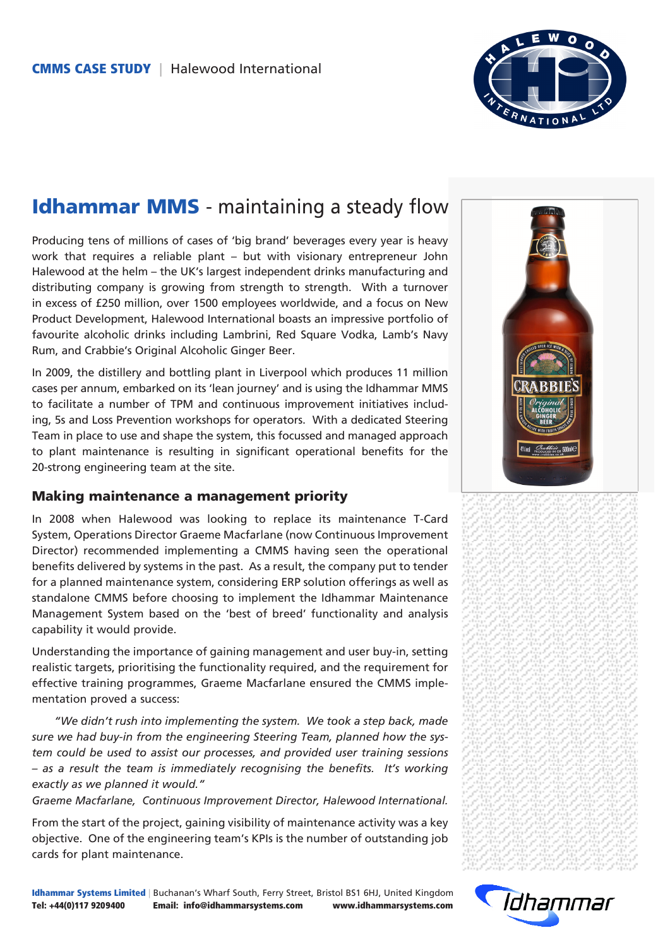

## **Idhammar MMS** - maintaining a steady flow

Producing tens of millions of cases of 'big brand' beverages every year is heavy work that requires a reliable plant – but with visionary entrepreneur John Halewood at the helm – the UK's largest independent drinks manufacturing and distributing company is growing from strength to strength. With a turnover in excess of £250 million, over 1500 employees worldwide, and a focus on New Product Development, Halewood International boasts an impressive portfolio of favourite alcoholic drinks including Lambrini, Red Square Vodka, Lamb's Navy Rum, and Crabbie's Original Alcoholic Ginger Beer.

In 2009, the distillery and bottling plant in Liverpool which produces 11 million cases per annum, embarked on its 'lean journey' and is using the Idhammar MMS to facilitate a number of TPM and continuous improvement initiatives including, 5s and Loss Prevention workshops for operators. With a dedicated Steering Team in place to use and shape the system, this focussed and managed approach to plant maintenance is resulting in significant operational benefits for the 20-strong engineering team at the site.

## Making maintenance a management priority

In 2008 when Halewood was looking to replace its maintenance T-Card System, Operations Director Graeme Macfarlane (now Continuous Improvement Director) recommended [implementing a CMMS](http://www.idhammarsystems.com/cmms%20systems/mms/implementing%20a%20cmms/) having seen the operational benefits delivered by systems in the past. As a result, the company put to tender for a planned maintenance system, considering ERP solution offerings as well as [standalone CMMS before choosing to implement the Idhammar Maintenance](http://www.idhammarsystems.com/cmms%20systems/mms/idhammar%20mms/) Management System based on the 'best of breed' functionality and analysis capability it would provide.

Understanding the importance of gaining management and user buy-in, setting realistic targets, prioritising the functionality required, and the requirement for effective training programmes, Graeme Macfarlane ensured the CMMS implementation proved a success:

*"We didn't rush into implementing the system. We took a step back, made sure we had buy-in from the engineering Steering Team, planned how the system could be used to assist our processes, and provided user training sessions – as a result the team is immediately recognising the benefits. It's working exactly as we planned it would."* 

*Graeme Macfarlane, Continuous Improvement Director, Halewood International.*

From the start of the project, gaining visibility of maintenance activity was a key objective. One of the engineering team's KPIs is the number of outstanding job cards for plant maintenance.